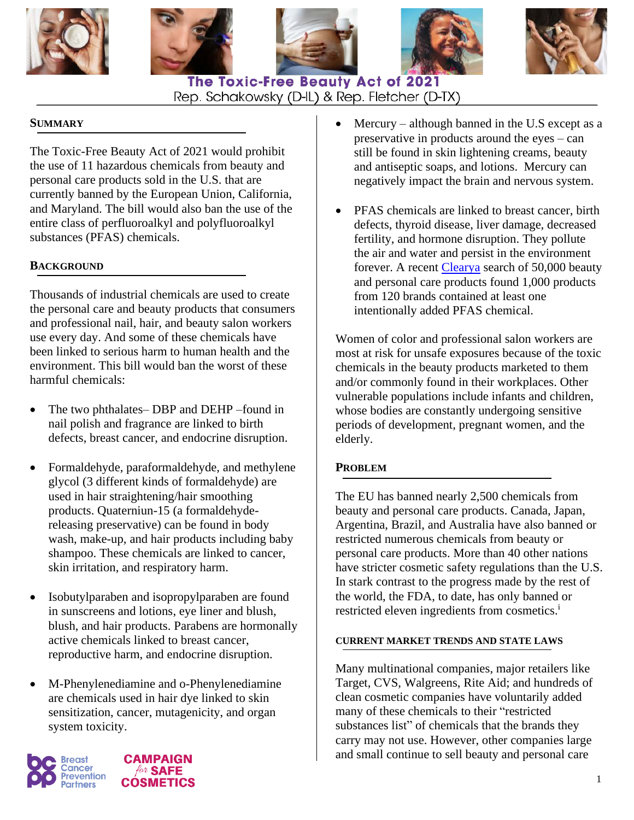









# The Toxic-Free Beauty Act of 2021 Rep. Schakowsky (D-IL) & Rep. Fletcher (D-TX)

## **SUMMARY**

The Toxic-Free Beauty Act of 2021 would prohibit the use of 11 hazardous chemicals from beauty and personal care products sold in the U.S. that are currently banned by the European Union, California, and Maryland. The bill would also ban the use of the entire class of perfluoroalkyl and polyfluoroalkyl substances (PFAS) chemicals.

## **BACKGROUND**

Thousands of industrial chemicals are used to create the personal care and beauty products that consumers and professional nail, hair, and beauty salon workers use every day. And some of these chemicals have been linked to serious harm to human health and the environment. This bill would ban the worst of these harmful chemicals:

- The two phthalates– DBP and DEHP –found in nail polish and fragrance are linked to birth defects, breast cancer, and endocrine disruption.
- Formaldehyde, paraformaldehyde, and methylene glycol (3 different kinds of formaldehyde) are used in hair straightening/hair smoothing products. Quaterniun-15 (a formaldehydereleasing preservative) can be found in body wash, make-up, and hair products including baby shampoo. These chemicals are linked to cancer, skin irritation, and respiratory harm.
- Isobutylparaben and isopropylparaben are found in sunscreens and lotions, eye liner and blush, blush, and hair products. Parabens are hormonally active chemicals linked to breast cancer, reproductive harm, and endocrine disruption.
- M-Phenylenediamine and o-Phenylenediamine are chemicals used in hair dye linked to skin sensitization, cancer, mutagenicity, and organ system toxicity.





- Mercury although banned in the U.S except as a preservative in products around the eyes – can still be found in skin lightening creams, beauty and antiseptic soaps, and lotions. Mercury can negatively impact the brain and nervous system.
- PFAS chemicals are linked to breast cancer, birth defects, thyroid disease, liver damage, decreased fertility, and hormone disruption. They pollute the air and water and persist in the environment forever. A recent [Clearya](https://www.clearya.com/) search of 50,000 beauty and personal care products found 1,000 products from 120 brands contained at least one intentionally added PFAS chemical.

Women of color and professional salon workers are most at risk for unsafe exposures because of the toxic chemicals in the beauty products marketed to them and/or commonly found in their workplaces. Other vulnerable populations include infants and children, whose bodies are constantly undergoing sensitive periods of development, pregnant women, and the elderly.

### **PROBLEM**

The EU has banned nearly 2,500 chemicals from beauty and personal care products. Canada, Japan, Argentina, Brazil, and Australia have also banned or restricted numerous chemicals from beauty or personal care products. More than 40 other nations have stricter cosmetic safety regulations than the U.S. In stark contrast to the progress made by the rest of the world, the FDA, to date, has only banned or restricted eleven ingredients from cosmetics.<sup>i</sup>

#### **CURRENT MARKET TRENDS AND STATE LAWS**

Many multinational companies, major retailers like Target, CVS, Walgreens, Rite Aid; and hundreds of clean cosmetic companies have voluntarily added many of these chemicals to their "restricted substances list" of chemicals that the brands they carry may not use. However, other companies large and small continue to sell beauty and personal care